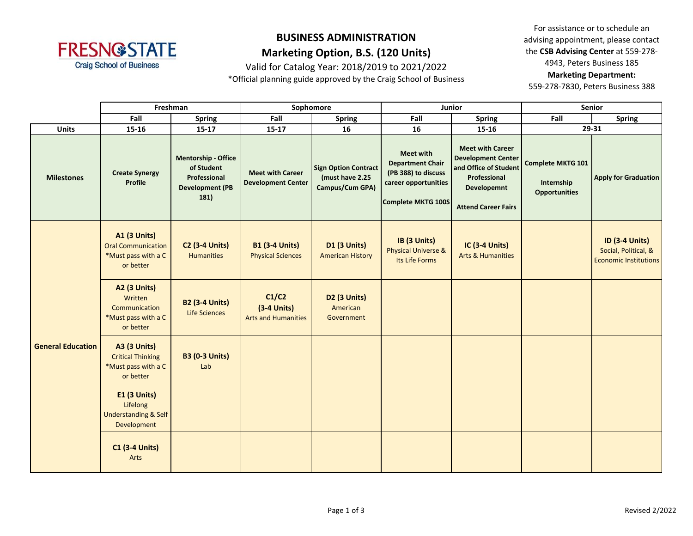

Valid for Catalog Year: 2018/2019 to 2021/2022

\*Official planning guide approved by the Craig School of Business

For assistance or to schedule an advising appointment, please contact the **CSB Advising Center** at 559-278- 4943, Peters Business 185 **Marketing Department:** 

|                          | Freshman                                                                             |                                                                                            | Sophomore                                            |                                                                   |                                                                                                                  | Junior                                                                                                                                     | <b>Senior</b>                                                  |                                                                               |  |
|--------------------------|--------------------------------------------------------------------------------------|--------------------------------------------------------------------------------------------|------------------------------------------------------|-------------------------------------------------------------------|------------------------------------------------------------------------------------------------------------------|--------------------------------------------------------------------------------------------------------------------------------------------|----------------------------------------------------------------|-------------------------------------------------------------------------------|--|
|                          | Fall                                                                                 | <b>Spring</b>                                                                              | Fall                                                 | <b>Spring</b>                                                     | Fall                                                                                                             | <b>Spring</b>                                                                                                                              | Fall                                                           | <b>Spring</b>                                                                 |  |
| <b>Units</b>             | 15-16                                                                                | $15 - 17$                                                                                  | $15 - 17$                                            | 16                                                                | 16                                                                                                               | 15-16                                                                                                                                      |                                                                | 29-31                                                                         |  |
| <b>Milestones</b>        | <b>Create Synergy</b><br><b>Profile</b>                                              | <b>Mentorship - Office</b><br>of Student<br>Professional<br><b>Development (PB</b><br>181) | <b>Meet with Career</b><br><b>Development Center</b> | <b>Sign Option Contract</b><br>(must have 2.25<br>Campus/Cum GPA) | <b>Meet with</b><br><b>Department Chair</b><br>(PB 388) to discuss<br>career opportunities<br>Complete MKTG 100S | <b>Meet with Career</b><br><b>Development Center</b><br>and Office of Student<br>Professional<br>Developemnt<br><b>Attend Career Fairs</b> | <b>Complete MKTG 101</b><br>Internship<br><b>Opportunities</b> | <b>Apply for Graduation</b>                                                   |  |
| <b>General Education</b> | <b>A1 (3 Units)</b><br><b>Oral Communication</b><br>*Must pass with a C<br>or better | <b>C2 (3-4 Units)</b><br><b>Humanities</b>                                                 | <b>B1 (3-4 Units)</b><br><b>Physical Sciences</b>    | <b>D1 (3 Units)</b><br><b>American History</b>                    | IB (3 Units)<br><b>Physical Universe &amp;</b><br>Its Life Forms                                                 | <b>IC (3-4 Units)</b><br><b>Arts &amp; Humanities</b>                                                                                      |                                                                | <b>ID (3-4 Units)</b><br>Social, Political, &<br><b>Economic Institutions</b> |  |
|                          | <b>A2 (3 Units)</b><br>Written<br>Communication<br>*Must pass with a C<br>or better  | <b>B2 (3-4 Units)</b><br>Life Sciences                                                     | C1/C2<br>$(3-4$ Units)<br><b>Arts and Humanities</b> | D2 (3 Units)<br>American<br>Government                            |                                                                                                                  |                                                                                                                                            |                                                                |                                                                               |  |
|                          | <b>A3 (3 Units)</b><br><b>Critical Thinking</b><br>*Must pass with a C<br>or better  | <b>B3 (0-3 Units)</b><br>Lab                                                               |                                                      |                                                                   |                                                                                                                  |                                                                                                                                            |                                                                |                                                                               |  |
|                          | E1 (3 Units)<br>Lifelong<br>Understanding & Self<br>Development                      |                                                                                            |                                                      |                                                                   |                                                                                                                  |                                                                                                                                            |                                                                |                                                                               |  |
|                          | <b>C1 (3-4 Units)</b><br>Arts                                                        |                                                                                            |                                                      |                                                                   |                                                                                                                  |                                                                                                                                            |                                                                |                                                                               |  |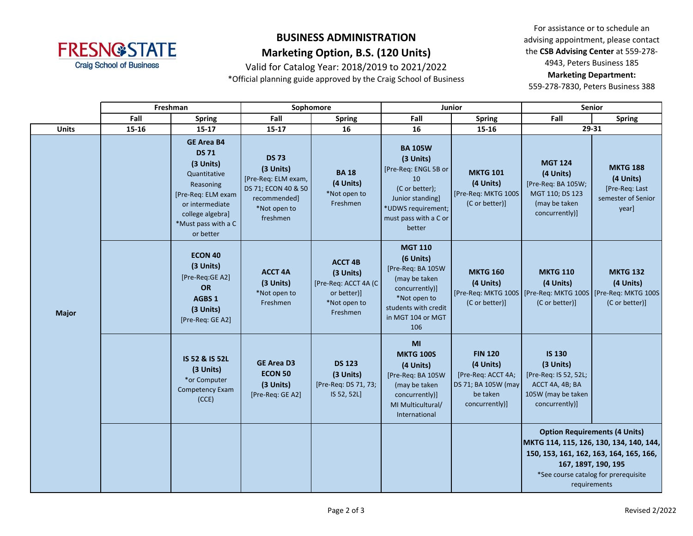

Valid for Catalog Year: 2018/2019 to 2021/2022 \*Official planning guide approved by the Craig School of Business

For assistance or to schedule an advising appointment, please contact the **CSB Advising Center** at 559-278- 4943, Peters Business 185 **Marketing Department:** 

|              | Freshman |                                                                                                                                                                              | Sophomore                                                                                                           |                                                                                                 | Junior                                                                                                                                                   |                                                                                                        | <b>Senior</b>                                                                                                                                                                                             |                                                                               |
|--------------|----------|------------------------------------------------------------------------------------------------------------------------------------------------------------------------------|---------------------------------------------------------------------------------------------------------------------|-------------------------------------------------------------------------------------------------|----------------------------------------------------------------------------------------------------------------------------------------------------------|--------------------------------------------------------------------------------------------------------|-----------------------------------------------------------------------------------------------------------------------------------------------------------------------------------------------------------|-------------------------------------------------------------------------------|
|              | Fall     | <b>Spring</b>                                                                                                                                                                | Fall                                                                                                                | <b>Spring</b>                                                                                   | Fall                                                                                                                                                     | Spring                                                                                                 | Fall<br><b>Spring</b>                                                                                                                                                                                     |                                                                               |
| <b>Units</b> | 15-16    | $15 - 17$                                                                                                                                                                    | $15 - 17$                                                                                                           | 16                                                                                              | 16                                                                                                                                                       | 15-16                                                                                                  | 29-31                                                                                                                                                                                                     |                                                                               |
|              |          | <b>GE Area B4</b><br><b>DS 71</b><br>(3 Units)<br>Quantitative<br>Reasoning<br>[Pre-Req: ELM exam<br>or intermediate<br>college algebra]<br>*Must pass with a C<br>or better | <b>DS 73</b><br>(3 Units)<br>[Pre-Req: ELM exam,<br>DS 71; ECON 40 & 50<br>recommended]<br>*Not open to<br>freshmen | <b>BA18</b><br>(4 Units)<br>*Not open to<br>Freshmen                                            | <b>BA 105W</b><br>(3 Units)<br>[Pre-Req: ENGL 5B or<br>10<br>(C or better);<br>Junior standing]<br>*UDWS requirement;<br>must pass with a C or<br>better | <b>MKTG 101</b><br>(4 Units)<br>[Pre-Req: MKTG 100S<br>(C or better)]                                  | <b>MGT 124</b><br>(4 Units)<br>[Pre-Req: BA 105W;<br>MGT 110; DS 123<br>(may be taken<br>concurrently)]                                                                                                   | <b>MKTG 188</b><br>(4 Units)<br>[Pre-Req: Last<br>semester of Senior<br>year] |
| <b>Major</b> |          | ECON 40<br>(3 Units)<br>[Pre-Req:GE A2]<br>OR<br><b>AGBS 1</b><br>(3 Units)<br>[Pre-Req: GE A2]                                                                              | <b>ACCT 4A</b><br>(3 Units)<br>*Not open to<br>Freshmen                                                             | <b>ACCT 4B</b><br>(3 Units)<br>[Pre-Req: ACCT 4A (C)<br>or better)]<br>*Not open to<br>Freshmen | <b>MGT 110</b><br>(6 Units)<br>[Pre-Req: BA 105W<br>(may be taken<br>concurrently)]<br>*Not open to<br>students with credit<br>in MGT 104 or MGT<br>106  | <b>MKTG 160</b><br>(4 Units)<br>(C or better)]                                                         | <b>MKTG 110</b><br>(4 Units)<br>[Pre-Req: MKTG 100S   [Pre-Req: MKTG 100S   [Pre-Req: MKTG 100S<br>(C or better)]                                                                                         | <b>MKTG 132</b><br>(4 Units)<br>(C or better)]                                |
|              |          | IS 52 & IS 52L<br>(3 Units)<br>*or Computer<br><b>Competency Exam</b><br>(CCE)                                                                                               | <b>GE Area D3</b><br><b>ECON 50</b><br>(3 Units)<br>[Pre-Req: GE A2]                                                | <b>DS 123</b><br>(3 Units)<br>[Pre-Req: DS 71, 73;<br>IS 52, 52L]                               | MI<br><b>MKTG 100S</b><br>(4 Units)<br>[Pre-Req: BA 105W<br>(may be taken<br>concurrently)]<br>MI Multicultural/<br>International                        | <b>FIN 120</b><br>(4 Units)<br>[Pre-Req: ACCT 4A;<br>DS 71; BA 105W (may<br>be taken<br>concurrently)] | <b>IS 130</b><br>(3 Units)<br>[Pre-Req: IS 52, 52L;<br>ACCT 4A, 4B; BA<br>105W (may be taken<br>concurrently)]                                                                                            |                                                                               |
|              |          |                                                                                                                                                                              |                                                                                                                     |                                                                                                 |                                                                                                                                                          |                                                                                                        | <b>Option Requirements (4 Units)</b><br>MKTG 114, 115, 126, 130, 134, 140, 144,<br>150, 153, 161, 162, 163, 164, 165, 166,<br>167, 189T, 190, 195<br>*See course catalog for prerequisite<br>requirements |                                                                               |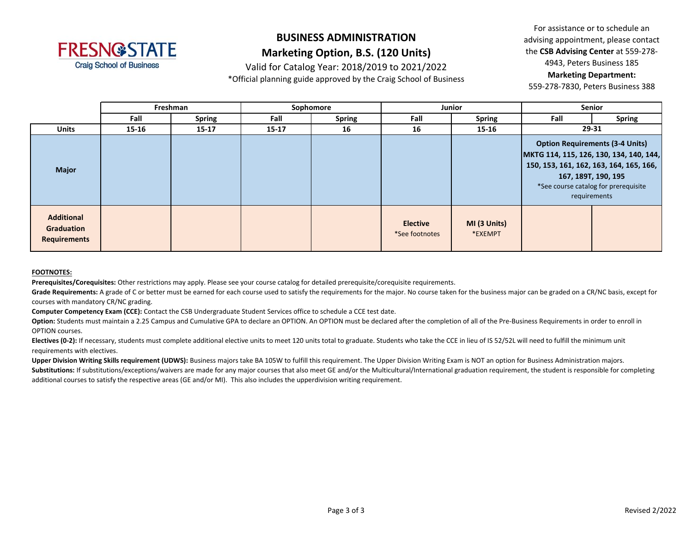

### Valid for Catalog Year: 2018/2019 to 2021/2022

\*Official planning guide approved by the Craig School of Business

For assistance or to schedule an advising appointment, please contact the **CSB Advising Center** at 559-278- 4943, Peters Business 185 **Marketing Department:** 

559-278-7830, Peters Business 388

|                                                        |           | Freshman      |           | Sophomore     | <b>Junior</b>                     |                         | Senior                                                                                                                                                                                                      |               |
|--------------------------------------------------------|-----------|---------------|-----------|---------------|-----------------------------------|-------------------------|-------------------------------------------------------------------------------------------------------------------------------------------------------------------------------------------------------------|---------------|
|                                                        | Fall      | <b>Spring</b> | Fall      | <b>Spring</b> | Fall                              | <b>Spring</b>           | Fall                                                                                                                                                                                                        | <b>Spring</b> |
| <b>Units</b>                                           | $15 - 16$ | $15 - 17$     | $15 - 17$ | 16            | 16                                | $15 - 16$               | 29-31                                                                                                                                                                                                       |               |
| <b>Major</b>                                           |           |               |           |               |                                   |                         | <b>Option Requirements (3-4 Units)</b><br>MKTG 114, 115, 126, 130, 134, 140, 144,<br>150, 153, 161, 162, 163, 164, 165, 166,<br>167, 189T, 190, 195<br>*See course catalog for prerequisite<br>requirements |               |
| <b>Additional</b><br>Graduation<br><b>Requirements</b> |           |               |           |               | <b>Elective</b><br>*See footnotes | MI (3 Units)<br>*EXEMPT |                                                                                                                                                                                                             |               |

#### **FOOTNOTES:**

**Prerequisites/Corequisites:** Other restrictions may apply. Please see your course catalog for detailed prerequisite/corequisite requirements.

Grade Requirements: A grade of C or better must be earned for each course used to satisfy the requirements for the major. No course taken for the business major can be graded on a CR/NC basis, except for courses with mandatory CR/NC grading.

**Computer Competency Exam (CCE):** Contact the CSB Undergraduate Student Services office to schedule a CCE test date.

Option: Students must maintain a 2.25 Campus and Cumulative GPA to declare an OPTION. An OPTION must be declared after the completion of all of the Pre-Business Requirements in order to enroll in OPTION courses.

Electives (0-2): If necessary, students must complete additional elective units to meet 120 units total to graduate. Students who take the CCE in lieu of IS 52/52L will need to fulfill the minimum unit requirements with electives.

Upper Division Writing Skills requirement (UDWS): Business majors take BA 105W to fulfill this requirement. The Upper Division Writing Exam is NOT an option for Business Administration majors.

Substitutions: If substitutions/exceptions/waivers are made for any major courses that also meet GE and/or the Multicultural/International graduation requirement, the student is responsible for completing additional courses to satisfy the respective areas (GE and/or MI). This also includes the upperdivision writing requirement.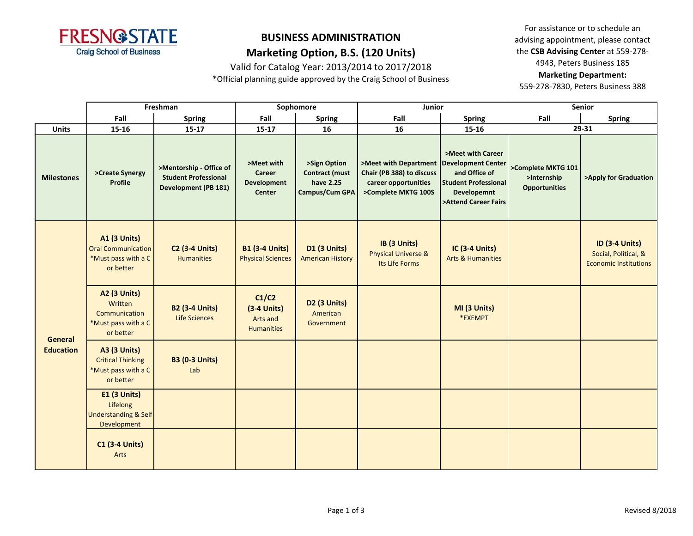

Valid for Catalog Year: 2013/2014 to 2017/2018

\*Official planning guide approved by the Craig School of Business

For assistance or to schedule an advising appointment, please contact the **CSB Advising Center** at 559-278- 4943, Peters Business 185 **Marketing Department:** 

|                                    | Freshman                                                                             |                                                                                       | Sophomore                                                          |                                                                      | Junior                                                                                                                 |                                                                                                                 | <b>Senior</b>                                             |                                                                               |
|------------------------------------|--------------------------------------------------------------------------------------|---------------------------------------------------------------------------------------|--------------------------------------------------------------------|----------------------------------------------------------------------|------------------------------------------------------------------------------------------------------------------------|-----------------------------------------------------------------------------------------------------------------|-----------------------------------------------------------|-------------------------------------------------------------------------------|
|                                    | Fall                                                                                 | <b>Spring</b>                                                                         | Fall                                                               | <b>Spring</b>                                                        | Fall                                                                                                                   | <b>Spring</b>                                                                                                   | Fall                                                      | <b>Spring</b>                                                                 |
| <b>Units</b>                       | 15-16                                                                                | $15 - 17$                                                                             | $15 - 17$                                                          | 16                                                                   | 16                                                                                                                     | 15-16                                                                                                           |                                                           | 29-31                                                                         |
| <b>Milestones</b>                  | >Create Synergy<br>Profile                                                           | >Mentorship - Office of<br><b>Student Professional</b><br><b>Development (PB 181)</b> | >Meet with<br><b>Career</b><br><b>Development</b><br><b>Center</b> | >Sign Option<br><b>Contract (must</b><br>have 2.25<br>Campus/Cum GPA | >Meet with Department   Development Center<br>Chair (PB 388) to discuss<br>career opportunities<br>>Complete MKTG 100S | >Meet with Career<br>and Office of<br><b>Student Professional</b><br><b>Developemnt</b><br>>Attend Career Fairs | >Complete MKTG 101<br>>Internship<br><b>Opportunities</b> | >Apply for Graduation                                                         |
| <b>General</b><br><b>Education</b> | <b>A1 (3 Units)</b><br><b>Oral Communication</b><br>*Must pass with a C<br>or better | <b>C2 (3-4 Units)</b><br><b>Humanities</b>                                            | <b>B1 (3-4 Units)</b><br><b>Physical Sciences</b>                  | <b>D1 (3 Units)</b><br><b>American History</b>                       | IB (3 Units)<br><b>Physical Universe &amp;</b><br>Its Life Forms                                                       | IC (3-4 Units)<br><b>Arts &amp; Humanities</b>                                                                  |                                                           | <b>ID (3-4 Units)</b><br>Social, Political, &<br><b>Economic Institutions</b> |
|                                    | <b>A2 (3 Units)</b><br>Written<br>Communication<br>*Must pass with a C<br>or better  | <b>B2 (3-4 Units)</b><br><b>Life Sciences</b>                                         | C1/C2<br>$(3-4$ Units)<br>Arts and<br><b>Humanities</b>            | D <sub>2</sub> (3 Units)<br>American<br>Government                   |                                                                                                                        | MI (3 Units)<br>*EXEMPT                                                                                         |                                                           |                                                                               |
|                                    | <b>A3 (3 Units)</b><br><b>Critical Thinking</b><br>*Must pass with a C<br>or better  | <b>B3 (0-3 Units)</b><br>Lab                                                          |                                                                    |                                                                      |                                                                                                                        |                                                                                                                 |                                                           |                                                                               |
|                                    | <b>E1 (3 Units)</b><br>Lifelong<br><b>Understanding &amp; Self</b><br>Development    |                                                                                       |                                                                    |                                                                      |                                                                                                                        |                                                                                                                 |                                                           |                                                                               |
|                                    | <b>C1 (3-4 Units)</b><br>Arts                                                        |                                                                                       |                                                                    |                                                                      |                                                                                                                        |                                                                                                                 |                                                           |                                                                               |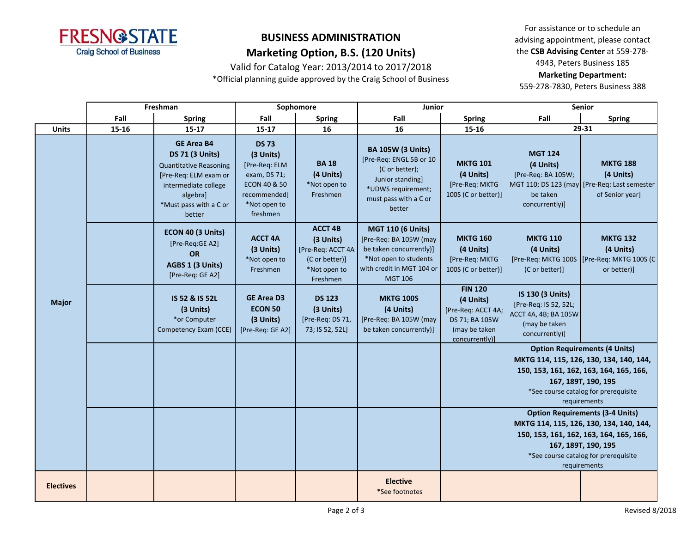

Valid for Catalog Year: 2013/2014 to 2017/2018

\*Official planning guide approved by the Craig School of Business

For assistance or to schedule an advising appointment, please contact the **CSB Advising Center** at 559-278- 4943, Peters Business 185 **Marketing Department:** 

|                  | Freshman |                                                                                                                                                                               | Sophomore                                                                                                                         |                                                                                                | <b>Junior</b>                                                                                                                                         |                                                                                                        | Senior                                                                                               |                                                                                                 |
|------------------|----------|-------------------------------------------------------------------------------------------------------------------------------------------------------------------------------|-----------------------------------------------------------------------------------------------------------------------------------|------------------------------------------------------------------------------------------------|-------------------------------------------------------------------------------------------------------------------------------------------------------|--------------------------------------------------------------------------------------------------------|------------------------------------------------------------------------------------------------------|-------------------------------------------------------------------------------------------------|
|                  | Fall     | <b>Spring</b>                                                                                                                                                                 | Fall                                                                                                                              | <b>Spring</b>                                                                                  | Fall                                                                                                                                                  | <b>Spring</b>                                                                                          | Fall                                                                                                 | <b>Spring</b>                                                                                   |
| <b>Units</b>     | 15-16    | $15 - 17$                                                                                                                                                                     | $15 - 17$                                                                                                                         | 16                                                                                             | 16                                                                                                                                                    | 15-16                                                                                                  | 29-31                                                                                                |                                                                                                 |
|                  |          | <b>GE Area B4</b><br><b>DS 71 (3 Units)</b><br><b>Quantitative Reasoning</b><br>[Pre-Req: ELM exam or<br>intermediate college<br>algebra]<br>*Must pass with a C or<br>better | <b>DS 73</b><br>(3 Units)<br>[Pre-Req: ELM<br>exam, DS 71;<br><b>ECON 40 &amp; 50</b><br>recommended]<br>*Not open to<br>freshmen | <b>BA18</b><br>(4 Units)<br>*Not open to<br>Freshmen                                           | <b>BA 105W (3 Units)</b><br>[Pre-Req: ENGL 5B or 10<br>(C or better);<br>Junior standing]<br>*UDWS requirement;<br>must pass with a C or<br>better    | <b>MKTG 101</b><br>(4 Units)<br>[Pre-Req: MKTG<br>100S (C or better)]                                  | <b>MGT 124</b><br>(4 Units)<br>[Pre-Req: BA 105W;<br>be taken<br>concurrently)]                      | <b>MKTG 188</b><br>(4 Units)<br>MGT 110; DS 123 (may [Pre-Req: Last semester<br>of Senior year] |
|                  |          | ECON 40 (3 Units)<br>[Pre-Req:GE A2]<br><b>OR</b><br>AGBS 1 (3 Units)<br>[Pre-Req: GE A2]                                                                                     | <b>ACCT 4A</b><br>(3 Units)<br>*Not open to<br>Freshmen                                                                           | <b>ACCT 4B</b><br>(3 Units)<br>[Pre-Req: ACCT 4A<br>(C or better)]<br>*Not open to<br>Freshmen | <b>MGT 110 (6 Units)</b><br>[Pre-Req: BA 105W (may<br>be taken concurrently)]<br>*Not open to students<br>with credit in MGT 104 or<br><b>MGT 106</b> | <b>MKTG 160</b><br>(4 Units)<br>[Pre-Req: MKTG<br>100S (C or better)]                                  | <b>MKTG 110</b><br>(4 Units)<br>[Pre-Req: MKTG 100S<br>(C or better)]                                | <b>MKTG 132</b><br>(4 Units)<br>[Pre-Req: MKTG 100S (C<br>or better)]                           |
| <b>Major</b>     |          | IS 52 & IS 52L<br>(3 Units)<br>*or Computer<br>Competency Exam (CCE)                                                                                                          | <b>GE Area D3</b><br><b>ECON 50</b><br>(3 Units)<br>[Pre-Req: GE A2]                                                              | <b>DS 123</b><br>(3 Units)<br>[Pre-Req: DS 71,<br>73; IS 52, 52L]                              | <b>MKTG 100S</b><br>(4 Units)<br>[Pre-Req: BA 105W (may<br>be taken concurrently)]                                                                    | <b>FIN 120</b><br>(4 Units)<br>[Pre-Req: ACCT 4A;<br>DS 71; BA 105W<br>(may be taken<br>concurrently)] | IS 130 (3 Units)<br>[Pre-Req: IS 52, 52L;<br>ACCT 4A, 4B; BA 105W<br>(may be taken<br>concurrently)] |                                                                                                 |
|                  |          |                                                                                                                                                                               |                                                                                                                                   |                                                                                                |                                                                                                                                                       |                                                                                                        | <b>Option Requirements (4 Units)</b>                                                                 |                                                                                                 |
|                  |          |                                                                                                                                                                               |                                                                                                                                   |                                                                                                |                                                                                                                                                       |                                                                                                        |                                                                                                      | MKTG 114, 115, 126, 130, 134, 140, 144,                                                         |
|                  |          |                                                                                                                                                                               |                                                                                                                                   |                                                                                                |                                                                                                                                                       |                                                                                                        |                                                                                                      | 150, 153, 161, 162, 163, 164, 165, 166,                                                         |
|                  |          |                                                                                                                                                                               |                                                                                                                                   |                                                                                                |                                                                                                                                                       |                                                                                                        |                                                                                                      | 167, 189T, 190, 195                                                                             |
|                  |          |                                                                                                                                                                               |                                                                                                                                   |                                                                                                |                                                                                                                                                       |                                                                                                        |                                                                                                      | *See course catalog for prerequisite                                                            |
|                  |          |                                                                                                                                                                               |                                                                                                                                   |                                                                                                |                                                                                                                                                       |                                                                                                        | requirements                                                                                         |                                                                                                 |
|                  |          |                                                                                                                                                                               |                                                                                                                                   |                                                                                                |                                                                                                                                                       |                                                                                                        | <b>Option Requirements (3-4 Units)</b><br>MKTG 114, 115, 126, 130, 134, 140, 144,                    |                                                                                                 |
|                  |          |                                                                                                                                                                               |                                                                                                                                   |                                                                                                |                                                                                                                                                       |                                                                                                        |                                                                                                      | 150, 153, 161, 162, 163, 164, 165, 166,                                                         |
|                  |          |                                                                                                                                                                               |                                                                                                                                   |                                                                                                |                                                                                                                                                       |                                                                                                        |                                                                                                      | 167, 189T, 190, 195                                                                             |
|                  |          |                                                                                                                                                                               |                                                                                                                                   |                                                                                                |                                                                                                                                                       |                                                                                                        |                                                                                                      | *See course catalog for prerequisite                                                            |
|                  |          |                                                                                                                                                                               |                                                                                                                                   |                                                                                                |                                                                                                                                                       |                                                                                                        |                                                                                                      | requirements                                                                                    |
| <b>Electives</b> |          |                                                                                                                                                                               |                                                                                                                                   |                                                                                                | <b>Elective</b><br>*See footnotes                                                                                                                     |                                                                                                        |                                                                                                      |                                                                                                 |